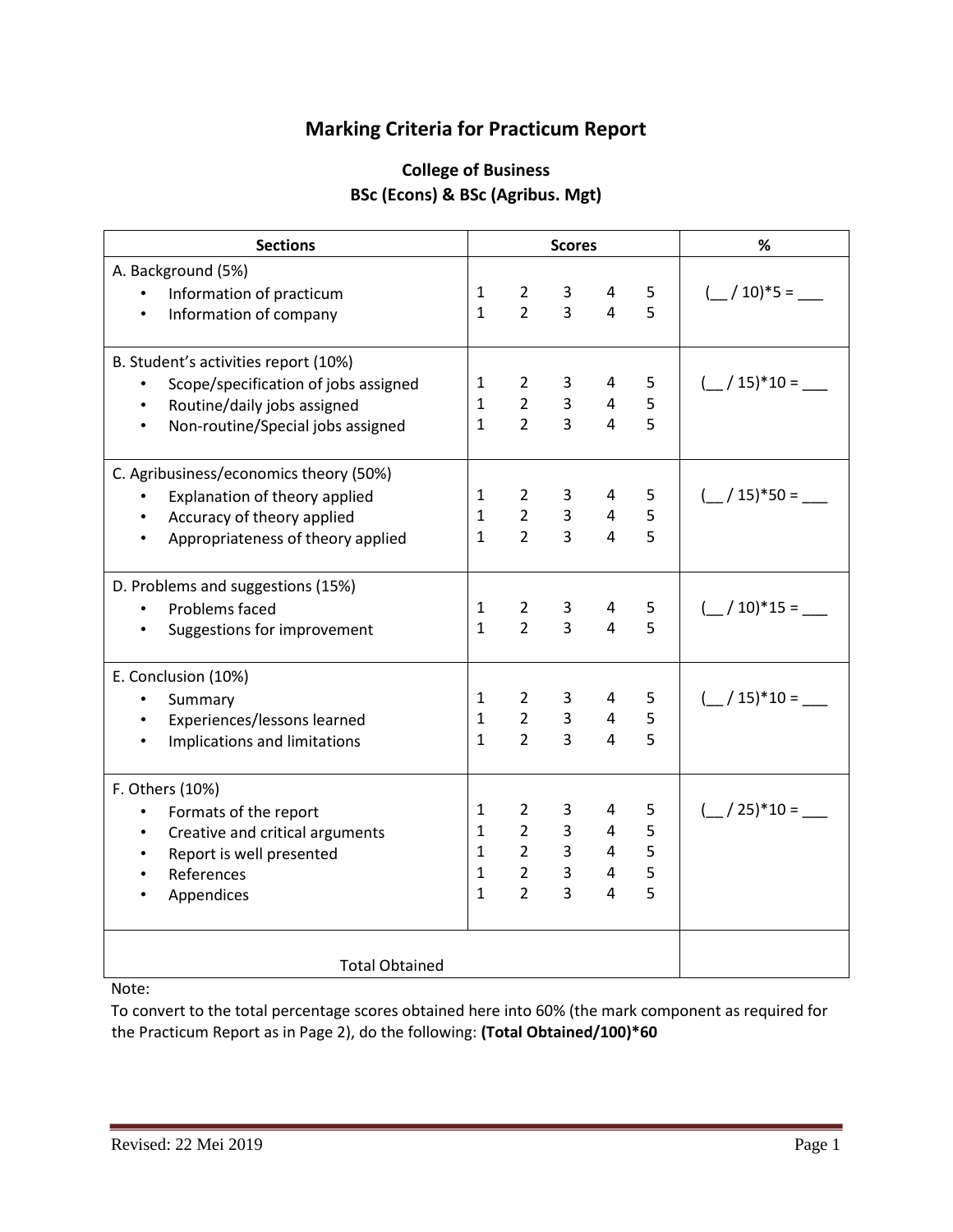## **Marking Criteria for Practicum Report**

## **College of Business BSc (Econs) & BSc (Agribus. Mgt)**

| <b>Sections</b>                                   |              | <b>Scores</b>         |                |                | %              |                                               |
|---------------------------------------------------|--------------|-----------------------|----------------|----------------|----------------|-----------------------------------------------|
| A. Background (5%)                                |              |                       |                |                |                |                                               |
| Information of practicum<br>$\bullet$             | $\mathbf{1}$ | $\mathbf{2}$          | 3              | 4              | 5              | $\left(\frac{1}{2}\right)$ 10)*5 =            |
| Information of company<br>$\bullet$               | $\mathbf{1}$ | $\overline{2}$        | $\overline{3}$ | 4              | 5              |                                               |
|                                                   |              |                       |                |                |                |                                               |
| B. Student's activities report (10%)              |              |                       |                |                |                |                                               |
| Scope/specification of jobs assigned<br>$\bullet$ | $\mathbf{1}$ | $\mathbf{2}^{\prime}$ | 3              | 4              | 5              | $\left(\frac{15}{15}\right)^{*}10 =$          |
| Routine/daily jobs assigned<br>$\bullet$          | $\mathbf{1}$ | $\overline{2}$        | 3              | $\overline{4}$ | 5              |                                               |
| Non-routine/Special jobs assigned<br>$\bullet$    | $\mathbf{1}$ | $\overline{2}$        | $\overline{3}$ | 4              | 5              |                                               |
| C. Agribusiness/economics theory (50%)            |              |                       |                |                |                |                                               |
| Explanation of theory applied                     | $\mathbf{1}$ | $\overline{2}$        | 3              | 4              | 5              | $\left(\frac{15}{15}\right)^{8}$ 50 =         |
| Accuracy of theory applied                        | $\mathbf{1}$ | $2^{\circ}$           | $\overline{3}$ | $\overline{4}$ | 5              |                                               |
| Appropriateness of theory applied                 | $\mathbf{1}$ | $\overline{2}$        | 3              | 4              | 5              |                                               |
|                                                   |              |                       |                |                |                |                                               |
| D. Problems and suggestions (15%)                 |              |                       |                |                |                |                                               |
| Problems faced<br>$\bullet$                       | $\mathbf{1}$ | $\overline{2}$        | 3              | 4              | 5              | $($ / 10)*15 =                                |
| Suggestions for improvement                       | $\mathbf{1}$ | $\overline{2}$        | $\overline{3}$ | $\overline{4}$ | 5              |                                               |
| E. Conclusion (10%)                               |              |                       |                |                |                |                                               |
| Summary                                           | $\mathbf{1}$ | $2^{\circ}$           | 3              | $\overline{4}$ | 5              | $\binom{15}{10}$ = $\binom{15}{10}$           |
| Experiences/lessons learned                       | $\mathbf{1}$ | $\overline{2}$        | $\overline{3}$ | $\overline{4}$ | 5              |                                               |
| Implications and limitations                      | $\mathbf{1}$ | $\overline{2}$        | $\overline{3}$ | 4              | 5              |                                               |
|                                                   |              |                       |                |                |                |                                               |
| F. Others (10%)                                   |              |                       |                |                |                |                                               |
| Formats of the report<br>$\bullet$                | $\mathbf{1}$ | $\overline{2}$        | 3              | 4              | 5              | $\left( \frac{\ }{}$ / 25)*10 = $\frac{\ }{}$ |
| Creative and critical arguments<br>$\bullet$      | $\mathbf{1}$ | $\overline{2}$        | 3 <sup>1</sup> | $\overline{4}$ | 5              |                                               |
| Report is well presented<br>$\bullet$             | $\mathbf{1}$ | $\overline{2}$        | 3 <sup>7</sup> | $\overline{4}$ | 5              |                                               |
| References<br>$\bullet$                           | $\mathbf{1}$ | $\overline{2}$        | $\overline{3}$ | $\overline{4}$ | 5              |                                               |
| Appendices                                        | $\mathbf{1}$ | $\overline{2}$        | $\overline{3}$ | 4              | $\overline{5}$ |                                               |
|                                                   |              |                       |                |                |                |                                               |
| <b>Total Obtained</b>                             |              |                       |                |                |                |                                               |

## Note:

To convert to the total percentage scores obtained here into 60% (the mark component as required for the Practicum Report as in Page 2), do the following: **(Total Obtained/100)\*60**